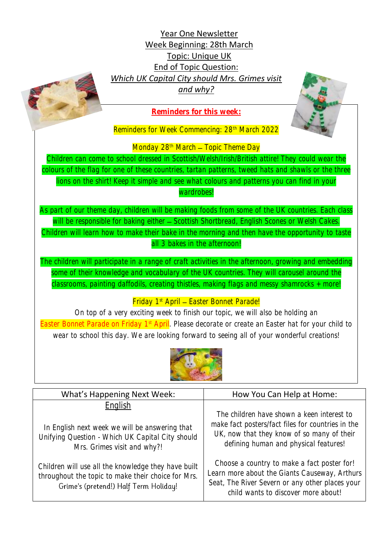Year One Newsletter Week Beginning: 28th March Topic: Unique UK End of Topic Question: *Which UK Capital City should Mrs. Grimes visit and why?*





Reminders for Week Commencing: 28<sup>th</sup> March 2022

Monday  $28<sup>th</sup>$  March – Topic Theme Day

Children can come to school dressed in Scottish/Welsh/Irish/British attire! They could wear the colours of the flag for one of these countries, tartan patterns, tweed hats and shawls or the three lions on the shirt! Keep it simple and see what colours and patterns you can find in your

wardrobes!

As part of our theme day, children will be making foods from some of the UK countries. Each class will be responsible for baking either - Scottish Shortbread, English Scones or Welsh Cakes. Children will learn how to make their bake in the morning and then have the opportunity to taste all 3 bakes in the afternoon!

The children will participate in a range of craft activities in the afternoon, growing and embedding some of their knowledge and vocabulary of the UK countries. They will carousel around the classrooms, painting daffodils, creating thistles, making flags and messy shamrocks + more!

Friday 1<sup>st</sup> April - Easter Bonnet Parade!

On top of a very exciting week to finish our topic, we will also be holding an Easter Bonnet Parade on Friday 1<sup>st</sup> April. Please decorate or create an Easter hat for your child to wear to school this day. We are looking forward to seeing all of your wonderful creations!



| <b>What's Happening Next Week:</b>                                                                                                                 | How You Can Help at Home:                                                                                                                                                              |
|----------------------------------------------------------------------------------------------------------------------------------------------------|----------------------------------------------------------------------------------------------------------------------------------------------------------------------------------------|
| English<br>In English next week we will be answering that<br>Unifying Question - Which UK Capital City should<br>Mrs. Grimes visit and why?!       | The children have shown a keen interest to<br>make fact posters/fact files for countries in the<br>UK, now that they know of so many of their<br>defining human and physical features! |
| Children will use all the knowledge they have built<br>throughout the topic to make their choice for Mrs.<br>Grime's (pretend!) Half Term Holiday! | Choose a country to make a fact poster for!<br>Learn more about the Giants Causeway, Arthurs<br>Seat, The River Severn or any other places your<br>child wants to discover more about! |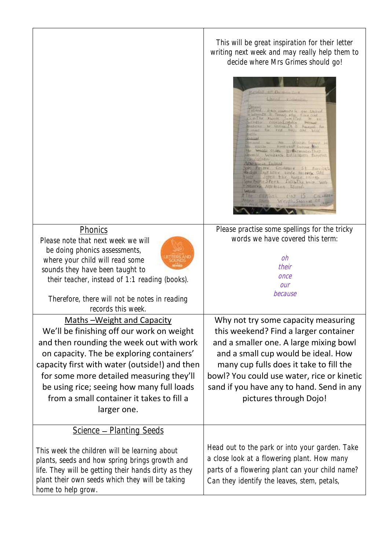|                                                                                                                                                                                                                                                                                                                                                                                     | This will be great inspiration for their letter<br>writing next week and may really help them to<br>decide where Mrs Grimes should go!<br>ESQ. Institute is car United<br>It Suffering the first and<br>Basic Jumilles<br>第 11<br>conteiled and<br><b>WESTHER</b><br>to be toring it is family for<br>THE PER THE GINE MINE<br>and to A With Found<br><b>MAIL OLLE B. RACHINGO THE</b><br><b>WHILES EXTRAGING</b><br>on Perry Common St frontal<br>bedeak From Love Winne Incente CAN<br><b>COTE THAT ROBE HATAM</b><br><b>A THEIR STEPS AND LEAR WHIP WILL</b><br><b>ITOLITTA AND BLEAKS</b><br><b>L.A.MIE</b><br>$2401 + 15 - 1$ |
|-------------------------------------------------------------------------------------------------------------------------------------------------------------------------------------------------------------------------------------------------------------------------------------------------------------------------------------------------------------------------------------|------------------------------------------------------------------------------------------------------------------------------------------------------------------------------------------------------------------------------------------------------------------------------------------------------------------------------------------------------------------------------------------------------------------------------------------------------------------------------------------------------------------------------------------------------------------------------------------------------------------------------------|
| Phonics<br>Please note that next week we will<br>be doing phonics assessments,<br>where your child will read some<br>sounds they have been taught to<br>their teacher, instead of 1:1 reading (books).<br>Therefore, there will not be notes in reading<br>records this week.                                                                                                       | Please practise some spellings for the tricky<br>words we have covered this term:<br>oh<br>their<br>once<br>our<br>because                                                                                                                                                                                                                                                                                                                                                                                                                                                                                                         |
| <u><b>Maths-Weight and Capacity</b></u><br>We'll be finishing off our work on weight<br>and then rounding the week out with work<br>on capacity. The be exploring containers'<br>capacity first with water (outside!) and then<br>for some more detailed measuring they'll<br>be using rice; seeing how many full loads<br>from a small container it takes to fill a<br>larger one. | Why not try some capacity measuring<br>this weekend? Find a larger container<br>and a smaller one. A large mixing bowl<br>and a small cup would be ideal. How<br>many cup fulls does it take to fill the<br>bowl? You could use water, rice or kinetic<br>sand if you have any to hand. Send in any<br>pictures through Dojo!                                                                                                                                                                                                                                                                                                      |
| <b>Science - Planting Seeds</b><br>This week the children will be learning about<br>plants, seeds and how spring brings growth and<br>life. They will be getting their hands dirty as they<br>plant their own seeds which they will be taking<br>home to help grow.                                                                                                                 | Head out to the park or into your garden. Take<br>a close look at a flowering plant. How many<br>parts of a flowering plant can your child name?<br>Can they identify the leaves, stem, petals,                                                                                                                                                                                                                                                                                                                                                                                                                                    |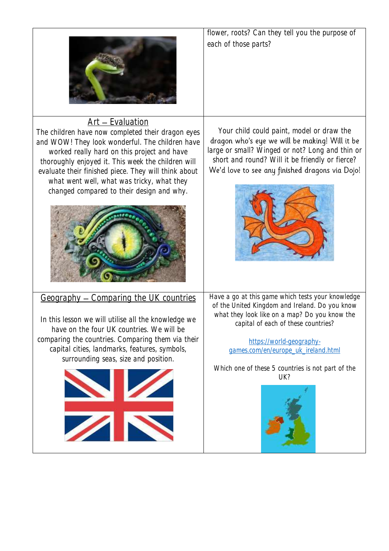